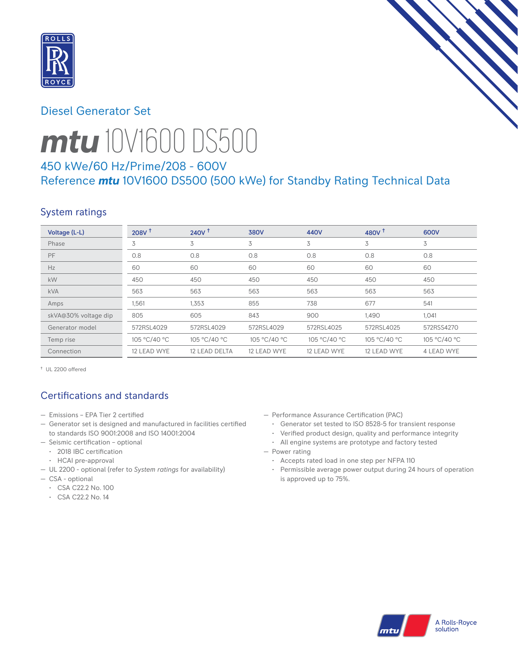

# Diesel Generator Set



# *mtu* 10V1600 DS500

# 450 kWe/60 Hz/Prime/208 - 600V Reference *mtu* 10V1600 DS500 (500 kWe) for Standby Rating Technical Data

# System ratings

| Voltage (L-L)        | 208V <sup>†</sup> | $240V^{\dagger}$ | <b>380V</b>  | 440V         | 480V $†$     | 600V         |
|----------------------|-------------------|------------------|--------------|--------------|--------------|--------------|
| Phase                | 3                 | 3                | 3            | 3            | 3            | 3            |
| PF                   | 0.8               | 0.8              | 0.8          | 0.8          | 0.8          | 0.8          |
| Hz                   | 60                | 60               | 60           | 60           | 60           | 60           |
| kW                   | 450               | 450              | 450          | 450          | 450          | 450          |
| <b>kVA</b>           | 563               | 563              | 563          | 563          | 563          | 563          |
| Amps                 | 1,561             | 1,353            | 855          | 738          | 677          | 541          |
| skVA@30% voltage dip | 805               | 605              | 843          | 900          | 1,490        | 1,041        |
| Generator model      | 572RSL4029        | 572RSL4029       | 572RSL4029   | 572RSL4025   | 572RSL4025   | 572RSS4270   |
| Temp rise            | 105 °C/40 °C      | 105 °C/40 °C     | 105 °C/40 °C | 105 °C/40 °C | 105 °C/40 °C | 105 °C/40 °C |
| Connection           | 12 LEAD WYE       | 12 LEAD DELTA    | 12 LEAD WYE  | 12 LEAD WYE  | 12 LEAD WYE  | 4 LEAD WYE   |

† UL 2200 offered

# Certifications and standards

- Emissions EPA Tier 2 certified
- Generator set is designed and manufactured in facilities certified to standards ISO 9001:2008 and ISO 14001:2004
- Seismic certification optional
- 2018 IBC certification
- HCAI pre-approval
- UL 2200 optional (refer to *System ratings* for availability)
- CSA optional
	- CSA C22.2 No. 100
	- CSA C22.2 No. 14
- Performance Assurance Certification (PAC)
	- Generator set tested to ISO 8528-5 for transient response
- Verified product design, quality and performance integrity
- All engine systems are prototype and factory tested
- Power rating
	- Accepts rated load in one step per NFPA 110
	- Permissible average power output during 24 hours of operation is approved up to 75%.

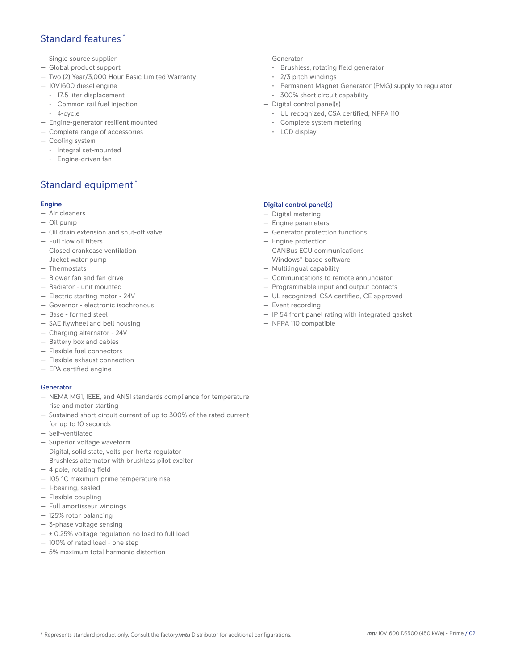## Standard features \*

- Single source supplier
- Global product support
- Two (2) Year/3,000 Hour Basic Limited Warranty
- 10V1600 diesel engine
	- 17.5 liter displacement
	- Common rail fuel injection
	- 4-cycle
- Engine-generator resilient mounted
- Complete range of accessories
- Cooling system
- Integral set-mounted
	- Engine-driven fan

# Standard equipment \*

#### Engine

- Air cleaners
- Oil pump
- Oil drain extension and shut-off valve
- Full flow oil filters
- Closed crankcase ventilation
- Jacket water pump
- Thermostats
- Blower fan and fan drive
- Radiator unit mounted
- Electric starting motor 24V
- Governor electronic isochronous
- Base formed steel
- SAE flywheel and bell housing
- Charging alternator 24V
- Battery box and cables
- Flexible fuel connectors
- Flexible exhaust connection
- EPA certified engine

#### **Generator**

- NEMA MG1, IEEE, and ANSI standards compliance for temperature rise and motor starting
- Sustained short circuit current of up to 300% of the rated current for up to 10 seconds
- Self-ventilated
- Superior voltage waveform
- Digital, solid state, volts-per-hertz regulator
- Brushless alternator with brushless pilot exciter
- 4 pole, rotating field
- 105 °C maximum prime temperature rise
- 1-bearing, sealed
- Flexible coupling
- Full amortisseur windings
- 125% rotor balancing
- 3-phase voltage sensing
- $\pm$  0.25% voltage regulation no load to full load
- 100% of rated load one step
- 5% maximum total harmonic distortion
- Generator
	- Brushless, rotating field generator
	- 2/3 pitch windings
	- Permanent Magnet Generator (PMG) supply to regulator
- 300% short circuit capability
- Digital control panel(s)
	- UL recognized, CSA certified, NFPA 110
	- Complete system metering
	- LCD display

### Digital control panel(s)

- Digital metering
- Engine parameters
- Generator protection functions
- Engine protection
- CANBus ECU communications
- Windows®-based software
- Multilingual capability
- Communications to remote annunciator
- Programmable input and output contacts
- UL recognized, CSA certified, CE approved
- Event recording
- IP 54 front panel rating with integrated gasket
- NFPA 110 compatible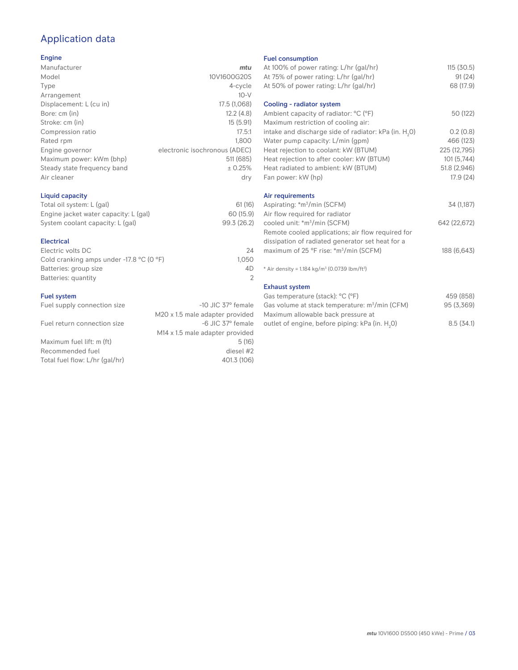# Application data

#### Engine

| Manufacturer                | mtu                           |
|-----------------------------|-------------------------------|
| Model                       | 10V1600G20S                   |
| Type                        | 4-cycle                       |
| Arrangement                 | $10-V$                        |
| Displacement: L (cu in)     | 17.5 (1,068)                  |
| Bore: cm (in)               | 12.2(4.8)                     |
| Stroke: cm (in)             | 15(5.91)                      |
| Compression ratio           | 17.5:1                        |
| Rated rpm                   | 1.800                         |
| Engine governor             | electronic isochronous (ADEC) |
| Maximum power: kWm (bhp)    | 511 (685)                     |
| Steady state frequency band | ± 0.25%                       |
| Air cleaner                 | dry                           |
|                             |                               |

## Liquid capacity

| Total oil system: L (gal)             | 61(16)      |
|---------------------------------------|-------------|
| Engine jacket water capacity: L (gal) | 60 (15.9)   |
| System coolant capacity: L (gal)      | 99.3 (26.2) |

#### Electrical

| Electric volts DC                                            | 24    |
|--------------------------------------------------------------|-------|
| Cold cranking amps under -17.8 $^{\circ}$ C (O $^{\circ}$ F) | 1.050 |
| Batteries: group size                                        | 4D    |
| Batteries: quantity                                          |       |
|                                                              |       |

#### Fuel system

| Fuel supply connection size    | $-10$ JIC 37 $\degree$ female               |
|--------------------------------|---------------------------------------------|
|                                | M20 x 1.5 male adapter provided             |
| Fuel return connection size    | -6 JIC 37° female                           |
|                                | M <sub>14</sub> x 1.5 male adapter provided |
| Maximum fuel lift: m (ft)      | 5(16)                                       |
| Recommended fuel               | diesel #2                                   |
| Total fuel flow: L/hr (gal/hr) | 401.3 (106)                                 |
|                                |                                             |

#### Fuel consumption

|                      | <b>FUBL CONSUMPTION</b>                                              |              |
|----------------------|----------------------------------------------------------------------|--------------|
| ū                    | At 100% of power rating: L/hr (gal/hr)                               | 115(30.5)    |
| S                    | At 75% of power rating: L/hr (gal/hr)                                | 91(24)       |
| e                    | At 50% of power rating: L/hr (gal/hr)                                | 68 (17.9)    |
| V                    |                                                                      |              |
| 3)                   | Cooling - radiator system                                            |              |
| 3)                   | Ambient capacity of radiator: °C (°F)                                | 50 (122)     |
| 1)                   | Maximum restriction of cooling air:                                  |              |
| :1                   | intake and discharge side of radiator: kPa (in. H <sub>2</sub> O)    | 0.2(0.8)     |
| 0                    | Water pump capacity: L/min (gpm)                                     | 466 (123)    |
| C)                   | Heat rejection to coolant: kW (BTUM)                                 | 225 (12,795) |
| 5)                   | Heat rejection to after cooler: kW (BTUM)                            | 101(5,744)   |
| ℅                    | Heat radiated to ambient: kW (BTUM)                                  | 51.8 (2,946) |
| .<br>V               | Fan power: kW (hp)                                                   | 17.9 (24)    |
|                      | Air requirements                                                     |              |
| 6)                   | Aspirating: *m <sup>3</sup> /min (SCFM)                              | 34 (1,187)   |
| 9)                   | Air flow required for radiator                                       |              |
| .2)                  | cooled unit: *m <sup>3</sup> /min (SCFM)                             | 642 (22,672) |
|                      | Remote cooled applications; air flow required for                    |              |
|                      | dissipation of radiated generator set heat for a                     |              |
| 24                   | maximum of 25 °F rise: *m <sup>3</sup> /min (SCFM)                   | 188 (6,643)  |
| 50                   |                                                                      |              |
| ŀD<br>$\overline{2}$ | * Air density = $1.184 \text{ kg/m}^3$ (0.0739 lbm/ft <sup>3</sup> ) |              |
|                      | <b>Exhaust system</b>                                                |              |
|                      | Gas temperature (stack): °C (°F)                                     | 459 (858)    |
| ıle                  | Gas volume at stack temperature: $m^3/m$ in (CFM)                    | 95 (3,369)   |
| эd                   | Maximum allowable back pressure at                                   |              |
|                      |                                                                      |              |

outlet of engine, before piping: kPa (in.  $H_2$ 0)  $\hspace{1.6cm}8.5\ (34.1)$